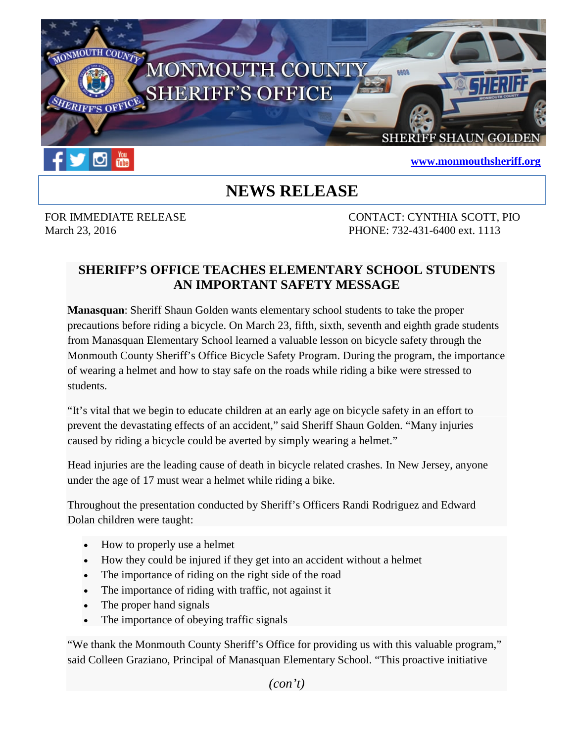

## **[www.monmouthsheriff.org](http://www.monmouthsheriff.org/)**

## **NEWS RELEASE**

FOR IMMEDIATE RELEASE CONTACT: CYNTHIA SCOTT, PIO March 23, 2016 **PHONE:** 732-431-6400 ext. 1113

## **SHERIFF'S OFFICE TEACHES ELEMENTARY SCHOOL STUDENTS AN IMPORTANT SAFETY MESSAGE**

**Manasquan**: Sheriff Shaun Golden wants elementary school students to take the proper precautions before riding a bicycle. On March 23, fifth, sixth, seventh and eighth grade students from Manasquan Elementary School learned a valuable lesson on bicycle safety through the Monmouth County Sheriff's Office Bicycle Safety Program. During the program, the importance of wearing a helmet and how to stay safe on the roads while riding a bike were stressed to students.

"It's vital that we begin to educate children at an early age on bicycle safety in an effort to prevent the devastating effects of an accident," said Sheriff Shaun Golden. "Many injuries caused by riding a bicycle could be averted by simply wearing a helmet."

Head injuries are the leading cause of death in bicycle related crashes. In New Jersey, anyone under the age of 17 must wear a helmet while riding a bike.

Throughout the presentation conducted by Sheriff's Officers Randi Rodriguez and Edward Dolan children were taught:

- How to properly use a helmet
- How they could be injured if they get into an accident without a helmet
- The importance of riding on the right side of the road
- The importance of riding with traffic, not against it
- The proper hand signals
- The importance of obeying traffic signals

"We thank the Monmouth County Sheriff's Office for providing us with this valuable program," said Colleen Graziano, Principal of Manasquan Elementary School. "This proactive initiative

*(con't)*